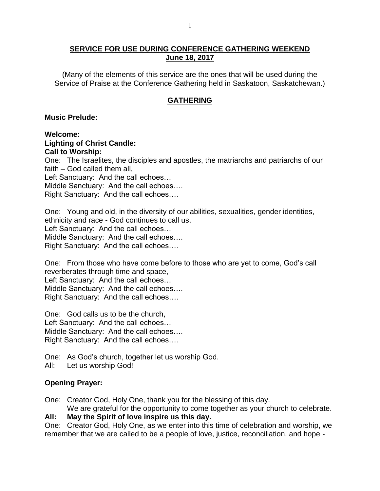### **SERVICE FOR USE DURING CONFERENCE GATHERING WEEKEND June 18, 2017**

(Many of the elements of this service are the ones that will be used during the Service of Praise at the Conference Gathering held in Saskatoon, Saskatchewan.)

## **GATHERING**

### **Music Prelude:**

**Welcome: Lighting of Christ Candle: Call to Worship:** One: The Israelites, the disciples and apostles, the matriarchs and patriarchs of our faith – God called them all, Left Sanctuary: And the call echoes… Middle Sanctuary: And the call echoes…. Right Sanctuary: And the call echoes….

One: Young and old, in the diversity of our abilities, sexualities, gender identities, ethnicity and race - God continues to call us, Left Sanctuary: And the call echoes… Middle Sanctuary: And the call echoes…. Right Sanctuary: And the call echoes….

One: From those who have come before to those who are yet to come, God's call reverberates through time and space, Left Sanctuary: And the call echoes… Middle Sanctuary: And the call echoes…. Right Sanctuary: And the call echoes….

One: God calls us to be the church, Left Sanctuary: And the call echoes… Middle Sanctuary: And the call echoes…. Right Sanctuary: And the call echoes….

One: As God's church, together let us worship God.

All: Let us worship God!

## **Opening Prayer:**

One: Creator God, Holy One, thank you for the blessing of this day.

We are grateful for the opportunity to come together as your church to celebrate.

## **All: May the Spirit of love inspire us this day.**

One: Creator God, Holy One, as we enter into this time of celebration and worship, we remember that we are called to be a people of love, justice, reconciliation, and hope -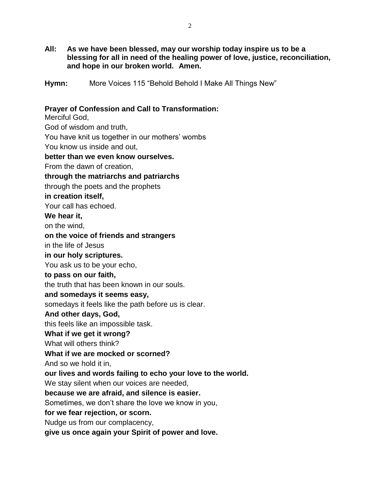**All: As we have been blessed, may our worship today inspire us to be a blessing for all in need of the healing power of love, justice, reconciliation, and hope in our broken world. Amen.**

**Hymn:** More Voices 115 "Behold Behold I Make All Things New"

## **Prayer of Confession and Call to Transformation:**

Merciful God, God of wisdom and truth, You have knit us together in our mothers' wombs You know us inside and out, **better than we even know ourselves.** From the dawn of creation, **through the matriarchs and patriarchs** through the poets and the prophets **in creation itself,** Your call has echoed. **We hear it,** on the wind, **on the voice of friends and strangers** in the life of Jesus **in our holy scriptures.** You ask us to be your echo, **to pass on our faith,** the truth that has been known in our souls. **and somedays it seems easy,** somedays it feels like the path before us is clear. **And other days, God,** this feels like an impossible task. **What if we get it wrong?** What will others think? **What if we are mocked or scorned?** And so we hold it in, **our lives and words failing to echo your love to the world.** We stay silent when our voices are needed, **because we are afraid, and silence is easier.** Sometimes, we don't share the love we know in you, **for we fear rejection, or scorn.** Nudge us from our complacency, **give us once again your Spirit of power and love.**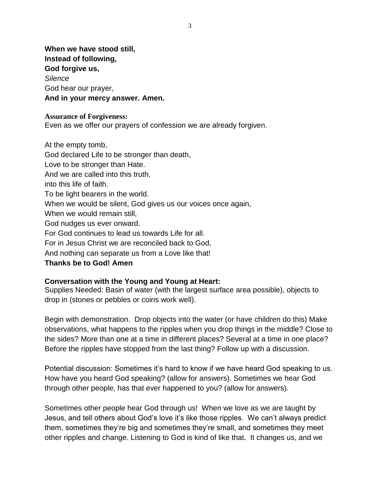**When we have stood still, Instead of following, God forgive us,** *Silence* God hear our prayer, **And in your mercy answer. Amen.**

#### **Assurance of Forgiveness:**

Even as we offer our prayers of confession we are already forgiven.

At the empty tomb, God declared Life to be stronger than death, Love to be stronger than Hate. And we are called into this truth, into this life of faith. To be light bearers in the world. When we would be silent, God gives us our voices once again, When we would remain still, God nudges us ever onward. For God continues to lead us towards Life for all. For in Jesus Christ we are reconciled back to God, And nothing can separate us from a Love like that! **Thanks be to God! Amen**

### **Conversation with the Young and Young at Heart:**

Supplies Needed: Basin of water (with the largest surface area possible), objects to drop in (stones or pebbles or coins work well).

Begin with demonstration. Drop objects into the water (or have children do this) Make observations, what happens to the ripples when you drop things in the middle? Close to the sides? More than one at a time in different places? Several at a time in one place? Before the ripples have stopped from the last thing? Follow up with a discussion.

Potential discussion: Sometimes it's hard to know if we have heard God speaking to us. How have you heard God speaking? (allow for answers). Sometimes we hear God through other people, has that ever happened to you? (allow for answers).

Sometimes other people hear God through us! When we love as we are taught by Jesus, and tell others about God's love it's like those ripples. We can't always predict them, sometimes they're big and sometimes they're small, and sometimes they meet other ripples and change. Listening to God is kind of like that. It changes us, and we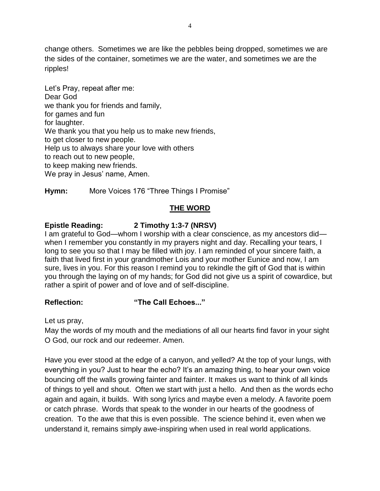change others. Sometimes we are like the pebbles being dropped, sometimes we are the sides of the container, sometimes we are the water, and sometimes we are the ripples!

Let's Pray, repeat after me: Dear God we thank you for friends and family, for games and fun for laughter. We thank you that you help us to make new friends, to get closer to new people. Help us to always share your love with others to reach out to new people, to keep making new friends. We pray in Jesus' name, Amen.

**Hymn:** More Voices 176 "Three Things I Promise"

# **THE WORD**

# **Epistle Reading: 2 Timothy 1:3-7 (NRSV)**

I am grateful to God—whom I worship with a clear conscience, as my ancestors did when I remember you constantly in my prayers night and day. Recalling your tears, I long to see you so that I may be filled with joy. I am reminded of your sincere faith, a faith that lived first in your grandmother Lois and your mother Eunice and now, I am sure, lives in you. For this reason I remind you to rekindle the gift of God that is within you through the laying on of my hands; for God did not give us a spirit of cowardice, but rather a spirit of power and of love and of self-discipline.

## **Reflection: "The Call Echoes..."**

Let us pray,

May the words of my mouth and the mediations of all our hearts find favor in your sight O God, our rock and our redeemer. Amen.

Have you ever stood at the edge of a canyon, and yelled? At the top of your lungs, with everything in you? Just to hear the echo? It's an amazing thing, to hear your own voice bouncing off the walls growing fainter and fainter. It makes us want to think of all kinds of things to yell and shout. Often we start with just a hello. And then as the words echo again and again, it builds. With song lyrics and maybe even a melody. A favorite poem or catch phrase. Words that speak to the wonder in our hearts of the goodness of creation. To the awe that this is even possible. The science behind it, even when we understand it, remains simply awe-inspiring when used in real world applications.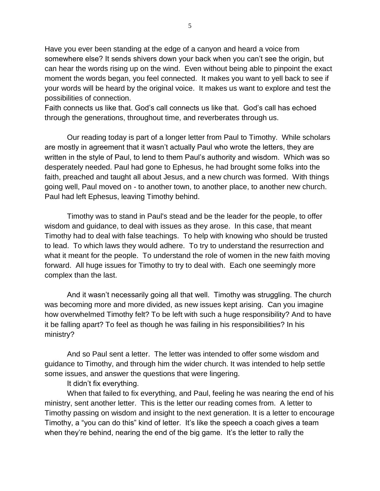Have you ever been standing at the edge of a canyon and heard a voice from somewhere else? It sends shivers down your back when you can't see the origin, but can hear the words rising up on the wind. Even without being able to pinpoint the exact moment the words began, you feel connected. It makes you want to yell back to see if your words will be heard by the original voice. It makes us want to explore and test the possibilities of connection.

Faith connects us like that. God's call connects us like that. God's call has echoed through the generations, throughout time, and reverberates through us.

Our reading today is part of a longer letter from Paul to Timothy. While scholars are mostly in agreement that it wasn't actually Paul who wrote the letters, they are written in the style of Paul, to lend to them Paul's authority and wisdom. Which was so desperately needed. Paul had gone to Ephesus, he had brought some folks into the faith, preached and taught all about Jesus, and a new church was formed. With things going well, Paul moved on - to another town, to another place, to another new church. Paul had left Ephesus, leaving Timothy behind.

Timothy was to stand in Paul's stead and be the leader for the people, to offer wisdom and guidance, to deal with issues as they arose. In this case, that meant Timothy had to deal with false teachings. To help with knowing who should be trusted to lead. To which laws they would adhere. To try to understand the resurrection and what it meant for the people. To understand the role of women in the new faith moving forward. All huge issues for Timothy to try to deal with. Each one seemingly more complex than the last.

And it wasn't necessarily going all that well. Timothy was struggling. The church was becoming more and more divided, as new issues kept arising. Can you imagine how overwhelmed Timothy felt? To be left with such a huge responsibility? And to have it be falling apart? To feel as though he was failing in his responsibilities? In his ministry?

And so Paul sent a letter. The letter was intended to offer some wisdom and guidance to Timothy, and through him the wider church. It was intended to help settle some issues, and answer the questions that were lingering.

It didn't fix everything.

When that failed to fix everything, and Paul, feeling he was nearing the end of his ministry, sent another letter. This is the letter our reading comes from. A letter to Timothy passing on wisdom and insight to the next generation. It is a letter to encourage Timothy, a "you can do this" kind of letter. It's like the speech a coach gives a team when they're behind, nearing the end of the big game. It's the letter to rally the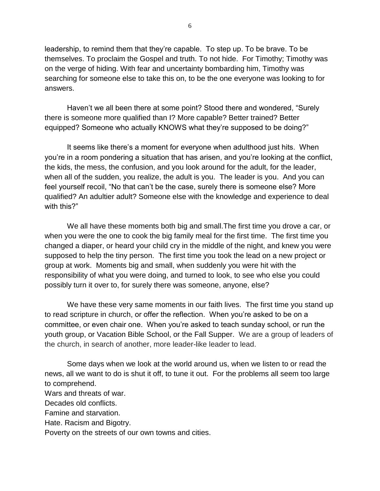leadership, to remind them that they're capable. To step up. To be brave. To be themselves. To proclaim the Gospel and truth. To not hide. For Timothy; Timothy was on the verge of hiding. With fear and uncertainty bombarding him, Timothy was searching for someone else to take this on, to be the one everyone was looking to for answers.

Haven't we all been there at some point? Stood there and wondered, "Surely there is someone more qualified than I? More capable? Better trained? Better equipped? Someone who actually KNOWS what they're supposed to be doing?"

It seems like there's a moment for everyone when adulthood just hits. When you're in a room pondering a situation that has arisen, and you're looking at the conflict, the kids, the mess, the confusion, and you look around for the adult, for the leader, when all of the sudden, you realize, the adult is you. The leader is you. And you can feel yourself recoil, "No that can't be the case, surely there is someone else? More qualified? An adultier adult? Someone else with the knowledge and experience to deal with this?"

We all have these moments both big and small.The first time you drove a car, or when you were the one to cook the big family meal for the first time. The first time you changed a diaper, or heard your child cry in the middle of the night, and knew you were supposed to help the tiny person. The first time you took the lead on a new project or group at work. Moments big and small, when suddenly you were hit with the responsibility of what you were doing, and turned to look, to see who else you could possibly turn it over to, for surely there was someone, anyone, else?

We have these very same moments in our faith lives. The first time you stand up to read scripture in church, or offer the reflection. When you're asked to be on a committee, or even chair one. When you're asked to teach sunday school, or run the youth group, or Vacation Bible School, or the Fall Supper. We are a group of leaders of the church, in search of another, more leader-like leader to lead.

Some days when we look at the world around us, when we listen to or read the news, all we want to do is shut it off, to tune it out. For the problems all seem too large to comprehend.

Wars and threats of war.

Decades old conflicts.

Famine and starvation.

Hate. Racism and Bigotry.

Poverty on the streets of our own towns and cities.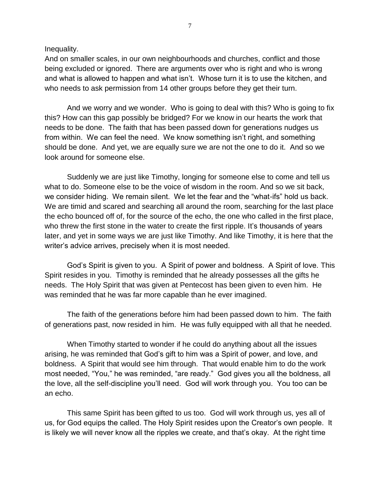Inequality.

And on smaller scales, in our own neighbourhoods and churches, conflict and those being excluded or ignored. There are arguments over who is right and who is wrong and what is allowed to happen and what isn't. Whose turn it is to use the kitchen, and who needs to ask permission from 14 other groups before they get their turn.

And we worry and we wonder. Who is going to deal with this? Who is going to fix this? How can this gap possibly be bridged? For we know in our hearts the work that needs to be done. The faith that has been passed down for generations nudges us from within. We can feel the need. We know something isn't right, and something should be done. And yet, we are equally sure we are not the one to do it. And so we look around for someone else.

Suddenly we are just like Timothy, longing for someone else to come and tell us what to do. Someone else to be the voice of wisdom in the room. And so we sit back, we consider hiding. We remain silent. We let the fear and the "what-ifs" hold us back. We are timid and scared and searching all around the room, searching for the last place the echo bounced off of, for the source of the echo, the one who called in the first place, who threw the first stone in the water to create the first ripple. It's thousands of years later, and yet in some ways we are just like Timothy. And like Timothy, it is here that the writer's advice arrives, precisely when it is most needed.

God's Spirit is given to you. A Spirit of power and boldness. A Spirit of love. This Spirit resides in you. Timothy is reminded that he already possesses all the gifts he needs. The Holy Spirit that was given at Pentecost has been given to even him. He was reminded that he was far more capable than he ever imagined.

The faith of the generations before him had been passed down to him. The faith of generations past, now resided in him. He was fully equipped with all that he needed.

When Timothy started to wonder if he could do anything about all the issues arising, he was reminded that God's gift to him was a Spirit of power, and love, and boldness. A Spirit that would see him through. That would enable him to do the work most needed, "You," he was reminded, "are ready." God gives you all the boldness, all the love, all the self-discipline you'll need. God will work through you. You too can be an echo.

This same Spirit has been gifted to us too. God will work through us, yes all of us, for God equips the called. The Holy Spirit resides upon the Creator's own people. It is likely we will never know all the ripples we create, and that's okay. At the right time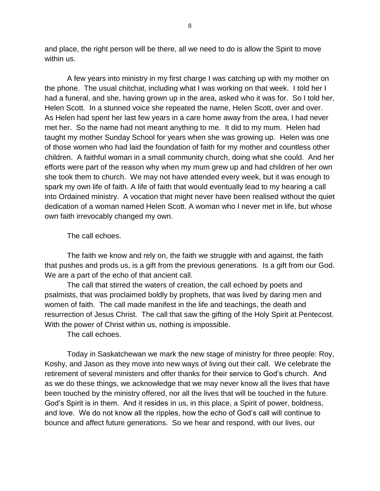and place, the right person will be there, all we need to do is allow the Spirit to move within us.

A few years into ministry in my first charge I was catching up with my mother on the phone. The usual chitchat, including what I was working on that week. I told her I had a funeral, and she, having grown up in the area, asked who it was for. So I told her, Helen Scott. In a stunned voice she repeated the name, Helen Scott, over and over. As Helen had spent her last few years in a care home away from the area, I had never met her. So the name had not meant anything to me. It did to my mum. Helen had taught my mother Sunday School for years when she was growing up. Helen was one of those women who had laid the foundation of faith for my mother and countless other children. A faithful woman in a small community church, doing what she could. And her efforts were part of the reason why when my mum grew up and had children of her own she took them to church. We may not have attended every week, but it was enough to spark my own life of faith. A life of faith that would eventually lead to my hearing a call into Ordained ministry. A vocation that might never have been realised without the quiet dedication of a woman named Helen Scott. A woman who I never met in life, but whose own faith irrevocably changed my own.

The call echoes.

The faith we know and rely on, the faith we struggle with and against, the faith that pushes and prods us, is a gift from the previous generations. Is a gift from our God. We are a part of the echo of that ancient call.

The call that stirred the waters of creation, the call echoed by poets and psalmists, that was proclaimed boldly by prophets, that was lived by daring men and women of faith. The call made manifest in the life and teachings, the death and resurrection of Jesus Christ. The call that saw the gifting of the Holy Spirit at Pentecost. With the power of Christ within us, nothing is impossible.

The call echoes.

Today in Saskatchewan we mark the new stage of ministry for three people: Roy, Koshy, and Jason as they move into new ways of living out their call. We celebrate the retirement of several ministers and offer thanks for their service to God's church. And as we do these things, we acknowledge that we may never know all the lives that have been touched by the ministry offered, nor all the lives that will be touched in the future. God's Spirit is in them. And it resides in us, in this place, a Spirit of power, boldness, and love. We do not know all the ripples, how the echo of God's call will continue to bounce and affect future generations. So we hear and respond, with our lives, our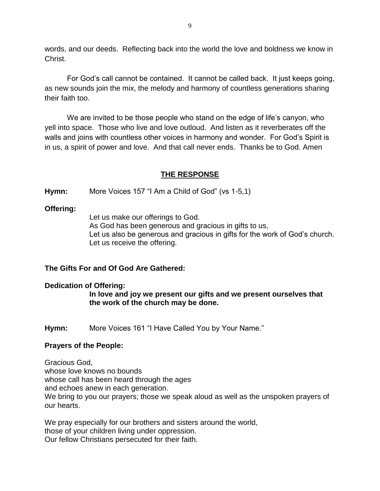words, and our deeds. Reflecting back into the world the love and boldness we know in Christ.

For God's call cannot be contained. It cannot be called back. It just keeps going, as new sounds join the mix, the melody and harmony of countless generations sharing their faith too.

We are invited to be those people who stand on the edge of life's canyon, who yell into space. Those who live and love outloud. And listen as it reverberates off the walls and joins with countless other voices in harmony and wonder. For God's Spirit is in us, a spirit of power and love. And that call never ends. Thanks be to God. Amen

### **THE RESPONSE**

**Hymn:** More Voices 157 "I Am a Child of God" (vs 1-5,1)

### **Offering:**

Let us make our offerings to God. As God has been generous and gracious in gifts to us, Let us also be generous and gracious in gifts for the work of God's church. Let us receive the offering.

### **The Gifts For and Of God Are Gathered:**

#### **Dedication of Offering:**

**In love and joy we present our gifts and we present ourselves that the work of the church may be done.**

**Hymn:** More Voices 161 "I Have Called You by Your Name."

#### **Prayers of the People:**

Gracious God, whose love knows no bounds whose call has been heard through the ages and echoes anew in each generation. We bring to you our prayers; those we speak aloud as well as the unspoken prayers of our hearts.

We pray especially for our brothers and sisters around the world, those of your children living under oppression. Our fellow Christians persecuted for their faith.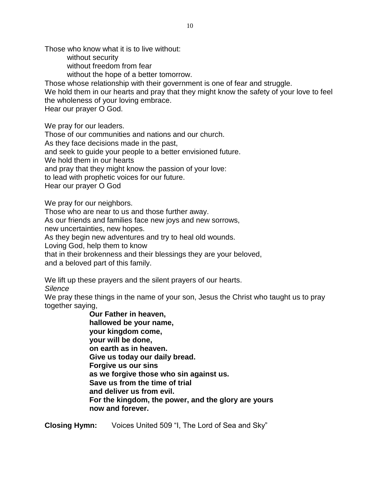Those who know what it is to live without:

without security

without freedom from fear

without the hope of a better tomorrow.

Those whose relationship with their government is one of fear and struggle.

We hold them in our hearts and pray that they might know the safety of your love to feel the wholeness of your loving embrace.

Hear our prayer O God.

We pray for our leaders.

Those of our communities and nations and our church.

As they face decisions made in the past,

and seek to guide your people to a better envisioned future.

We hold them in our hearts

and pray that they might know the passion of your love:

to lead with prophetic voices for our future.

Hear our prayer O God

We pray for our neighbors.

Those who are near to us and those further away.

As our friends and families face new joys and new sorrows,

new uncertainties, new hopes.

As they begin new adventures and try to heal old wounds.

Loving God, help them to know

that in their brokenness and their blessings they are your beloved,

and a beloved part of this family.

We lift up these prayers and the silent prayers of our hearts.

*Silence*

We pray these things in the name of your son, Jesus the Christ who taught us to pray together saying,

> **Our Father in heaven, hallowed be your name, your kingdom come, your will be done, on earth as in heaven. Give us today our daily bread. Forgive us our sins as we forgive those who sin against us. Save us from the time of trial and deliver us from evil. For the kingdom, the power, and the glory are yours now and forever.**

**Closing Hymn:** Voices United 509 "I, The Lord of Sea and Sky"